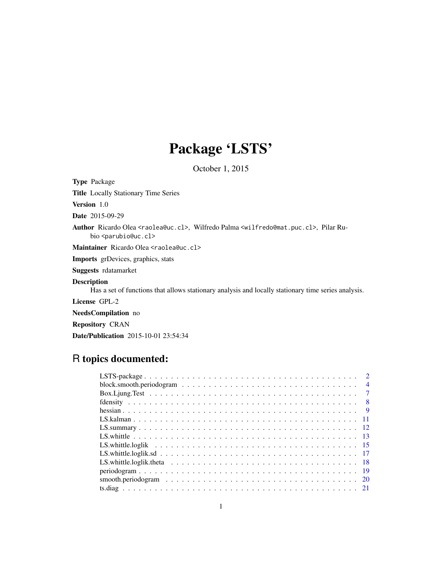## Package 'LSTS'

October 1, 2015

<span id="page-0-0"></span>Type Package Title Locally Stationary Time Series Version 1.0 Date 2015-09-29 Author Ricardo Olea <raolea@uc.cl>, Wilfredo Palma <wilfredo@mat.puc.cl>, Pilar Rubio <parubio@uc.cl> Maintainer Ricardo Olea <raolea@uc.cl> Imports grDevices, graphics, stats Suggests rdatamarket Description Has a set of functions that allows stationary analysis and locally stationary time series analysis. License GPL-2 NeedsCompilation no Repository CRAN Date/Publication 2015-10-01 23:54:34

### R topics documented:

| $\overline{2}$ |
|----------------|
| $\overline{4}$ |
| $\overline{7}$ |
|                |
| $\overline{9}$ |
|                |
|                |
|                |
|                |
|                |
|                |
|                |
|                |
|                |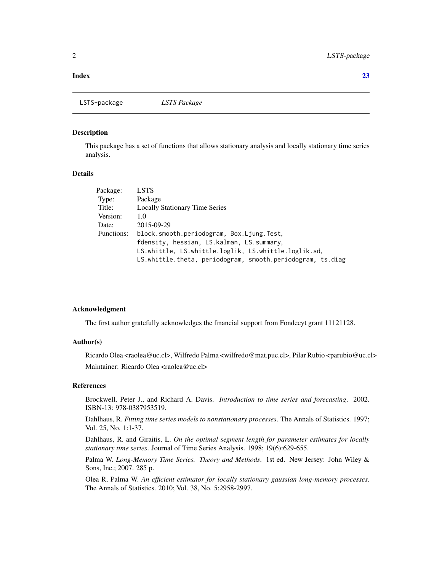#### <span id="page-1-0"></span>**Index** [23](#page-22-0)

LSTS-package *LSTS Package*

#### Description

This package has a set of functions that allows stationary analysis and locally stationary time series analysis.

#### Details

| <b>LSTS</b>                                                |
|------------------------------------------------------------|
| Package                                                    |
| <b>Locally Stationary Time Series</b>                      |
| 1.0                                                        |
| 2015-09-29                                                 |
| block.smooth.periodogram, Box.Ljung.Test,                  |
| fdensity, hessian, LS. kalman, LS. summary,                |
| LS.whittle, LS.whittle.loglik, LS.whittle.loglik.sd,       |
| LS.whittle.theta, periodogram, smooth.periodogram, ts.diag |
|                                                            |

#### Acknowledgment

The first author gratefully acknowledges the financial support from Fondecyt grant 11121128.

#### Author(s)

Ricardo Olea <raolea@uc.cl>, Wilfredo Palma <wilfredo@mat.puc.cl>, Pilar Rubio <parubio@uc.cl> Maintainer: Ricardo Olea <raolea@uc.cl>

#### References

Brockwell, Peter J., and Richard A. Davis. *Introduction to time series and forecasting*. 2002. ISBN-13: 978-0387953519.

Dahlhaus, R. *Fitting time series models to nonstationary processes*. The Annals of Statistics. 1997; Vol. 25, No. 1:1-37.

Dahlhaus, R. and Giraitis, L. *On the optimal segment length for parameter estimates for locally stationary time series*. Journal of Time Series Analysis. 1998; 19(6):629-655.

Palma W. *Long-Memory Time Series. Theory and Methods*. 1st ed. New Jersey: John Wiley & Sons, Inc.; 2007. 285 p.

Olea R, Palma W. *An efficient estimator for locally stationary gaussian long-memory processes*. The Annals of Statistics. 2010; Vol. 38, No. 5:2958-2997.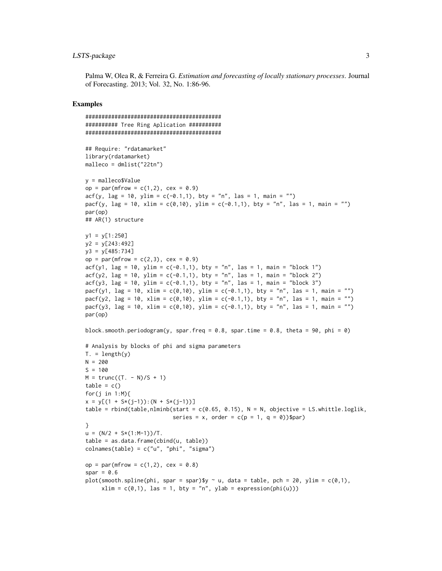#### LSTS-package 3

Palma W, Olea R, & Ferreira G. *Estimation and forecasting of locally stationary processes*. Journal of Forecasting. 2013; Vol. 32, No. 1:86-96.

```
##########################################
########## Tree Ring Aplication ##########
##########################################
## Require: "rdatamarket"
library(rdatamarket)
malleco = dmlist("22tn")
y = malleco$Value
op = par(mfrow = c(1,2)), cex = 0.9)
\text{acf}(y, \text{ lag} = 10, \text{ ylim} = c(-0.1, 1), \text{ bty} = "n", \text{ las} = 1, \text{ main} = "")pacf(y, lag = 10, xlim = c(0,10), ylim = c(-0.1,1), bty = "n", las = 1, main = "")
par(op)
## AR(1) structure
y1 = y[1:250]
y2 = y[243:492]
y3 = y[485:734]
op = par(mfrow = c(2,3), cex = 0.9)
\text{arf}(y1, \text{ lag} = 10, \text{ ylim} = c(-0.1, 1), \text{ bty} = "n", \text{ las} = 1, \text{ main} = \text{"block 1"}\text{arfc}(y2, \text{ lag} = 10, \text{ ylim} = \text{c}(-0.1, 1), \text{ bty} = \text{"n", las} = 1, \text{ main} = \text{"block 2"}\text{arfc}(y3, \text{ lag} = 10, \text{ ylim} = \text{c}(-0.1, 1), \text{ bty} = \text{"n", las} = 1, \text{ main} = \text{"block 3"}pacf(y1, \text{lag} = 10, \text{xlim} = c(0,10), \text{ylim} = c(-0.1,1), \text{bty} = \text{"n", las} = 1, \text{main} = \text{""})
pacf(y2, lag = 10, xlim = c(0,10), ylim = c(-0.1,1), bty = "n", las = 1, main = "")
pacf(y3, \text{lag} = 10, \text{xlim} = c(0, 10), \text{ylim} = c(-0.1, 1), \text{bty} = "n", \text{ las} = 1, \text{ main} = "')par(op)
block.smooth.periodogram(y, spar.freq = 0.8, spar.time = 0.8, theta = 90, phi = 0)
# Analysis by blocks of phi and sigma parameters
T. = length(y)N = 200S = 100M = \text{trunc}((T. - N)/S + 1)table = c()for(j in 1:M){
x = y[(1 + S*(j-1)):(N + S*(j-1))]table = rbind(table,nlminb(start = c(0.65, 0.15), N = N, objective = LS.whittle.loglik,
                                series = x, order = c(p = 1, q = 0)$par)
}
u = (N/2 + S*(1:N-1))/T.
table = as.data.frame(cbind(u, table))
colnames(table) = c("u", "phi", "sigma")op = par(mfrow = c(1,2), cex = 0.8)
spar = 0.6plot(smooth.spline(phi, spar = spar)$y \sim u, data = table, pch = 20, ylim = c(0,1),
      xlim = c(0,1), las = 1, bty = "n", ylab = expression(phi(u)))
```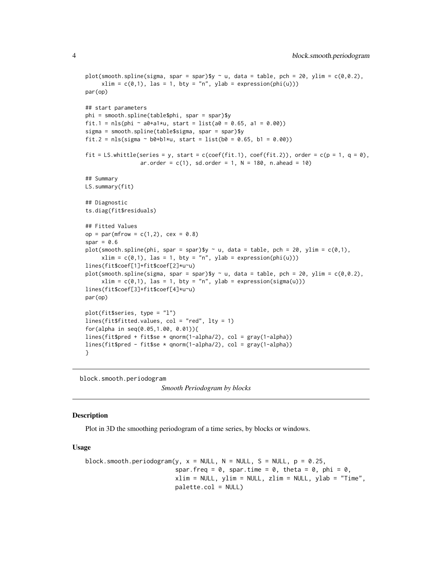```
plot(smooth.spline(sigma, spar = spar)$y \sim u, data = table, pch = 20, ylim = c(0,0.2),
     xlim = c(0,1), las = 1, bty = "n", ylab = expression(phi(u)))
par(op)
## start parameters
phi = smooth.spline(table$phi, spar = spar)$y
fit.1 = nls(phi ~ a0+a1*u, start = list(a0 = 0.65, a1 = 0.00))
sigma = smooth.spline(table$sigma, spar = spar)$y
fit.2 = nls(sigma \sim b0+b1*u, start = list(b0 = 0.65, b1 = 0.00))
fit = LS.whittle(series = y, start = c(coef(fit.1), coef(fit.2)), order = c(p = 1, q = 0),
                 ar. order = c(1), sd. order = 1, N = 180, n. ahead = 10)## Summary
LS.summary(fit)
## Diagnostic
ts.diag(fit$residuals)
## Fitted Values
op = par(mfrow = c(1,2), cex = 0.8)spar = 0.6plot(smooth.spline(phi, spar = spar)$y \sim u, data = table, pch = 20, ylim = c(0,1),
     xlim = c(0,1), las = 1, bty = "n", ylab = expression(phi(u)))
lines(fit$coef[1]+fit$coef[2]*u~u)
plot(smooth.spline(sigma, spar = spar)$y ~ u, data = table, pch = 20, ylim = c(\emptyset, \emptyset.2),
     xlim = c(0,1), las = 1, bty = "n", ylab = expression(sigma(u)))
lines(fit$coef[3]+fit$coef[4]*u~u)
par(op)
plot(fit$series, type = "l")
lines(fit$fitted.values, col = "red", lty = 1)
for(alpha in seq(0.05,1.00, 0.01)){
lines(fit$pred + fit$se * qnorm(1-alpha/2), col = gray(1-alpha))
lines(fit$pred - fit$se * qnorm(1-alpha/2), col = gray(1-alpha))
}
```
block.smooth.periodogram *Smooth Periodogram by blocks*

#### **Description**

Plot in 3D the smoothing periodogram of a time series, by blocks or windows.

#### Usage

```
block.smooth.periodogram(y, x = NULL, N = NULL, S = NULL, p = 0.25,
                         spar.freq = 0, spar.time = 0, theta = 0, phi = 0,
                         xlim = NULL, ylim = NULL, zlim = NULL, ylab = "Time",palette.col = NULL)
```
<span id="page-3-0"></span>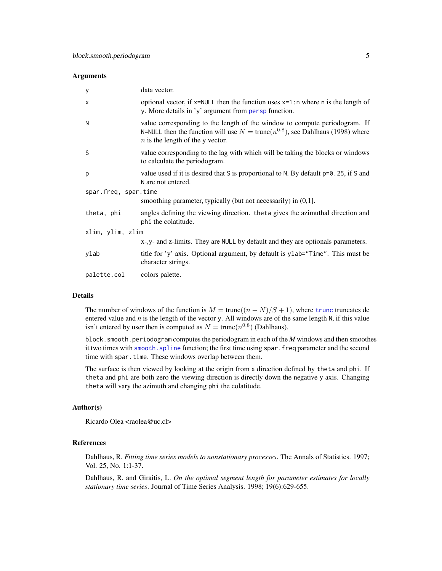#### <span id="page-4-0"></span>**Arguments**

| У                    | data vector.                                                                                                                                                                                                  |  |
|----------------------|---------------------------------------------------------------------------------------------------------------------------------------------------------------------------------------------------------------|--|
| $\times$             | optional vector, if $x$ =NULL then the function uses $x=1$ : n where n is the length of<br>y. More details in 'y' argument from persp function.                                                               |  |
| N                    | value corresponding to the length of the window to compute periodogram. If<br>N=NULL then the function will use $N = \text{trunc}(n^{0.8})$ , see Dahlhaus (1998) where<br>$n$ is the length of the y vector. |  |
| S                    | value corresponding to the lag with which will be taking the blocks or windows<br>to calculate the periodogram.                                                                                               |  |
| p                    | value used if it is desired that S is proportional to N. By default p=0.25, if S and<br>N are not entered.                                                                                                    |  |
| spar.freq, spar.time |                                                                                                                                                                                                               |  |
|                      | smoothing parameter, typically (but not necessarily) in $(0,1]$ .                                                                                                                                             |  |
| theta, phi           | angles defining the viewing direction. the ta gives the azimuthal direction and<br>phi the colatitude.                                                                                                        |  |
| xlim, ylim, zlim     |                                                                                                                                                                                                               |  |
|                      | x-,y- and z-limits. They are NULL by default and they are optionals parameters.                                                                                                                               |  |
| ylab                 | title for 'y' axis. Optional argument, by default is ylab="Time". This must be<br>character strings.                                                                                                          |  |
| palette.col          | colors palette.                                                                                                                                                                                               |  |

#### Details

The number of windows of the function is  $M = \text{trunc}((n - N)/S + 1)$  $M = \text{trunc}((n - N)/S + 1)$  $M = \text{trunc}((n - N)/S + 1)$ , where trunc truncates de entered value and *n* is the length of the vector y. All windows are of the same length N, if this value isn't entered by user then is computed as  $N = \text{trunc}(n^{0.8})$  (Dahlhaus).

block.smooth.periodogram computes the periodogram in each of the *M* windows and then smoothes it two times with smooth. spline function; the first time using spar. freq parameter and the second time with spar.time. These windows overlap between them.

The surface is then viewed by looking at the origin from a direction defined by theta and phi. If theta and phi are both zero the viewing direction is directly down the negative y axis. Changing theta will vary the azimuth and changing phi the colatitude.

#### Author(s)

Ricardo Olea <raolea@uc.cl>

#### References

Dahlhaus, R. *Fitting time series models to nonstationary processes*. The Annals of Statistics. 1997; Vol. 25, No. 1:1-37.

Dahlhaus, R. and Giraitis, L. *On the optimal segment length for parameter estimates for locally stationary time series*. Journal of Time Series Analysis. 1998; 19(6):629-655.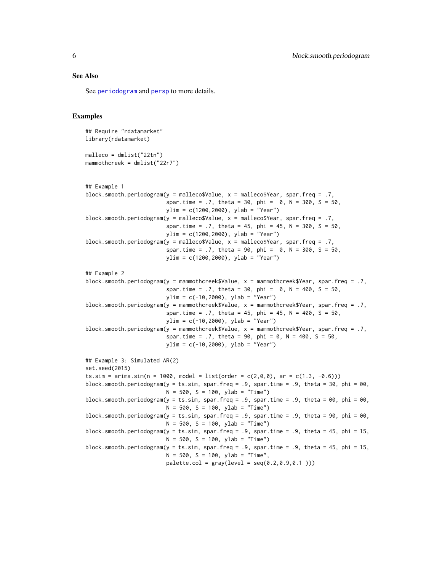#### <span id="page-5-0"></span>See Also

See [periodogram](#page-18-1) and [persp](#page-0-0) to more details.

```
## Require "rdatamarket"
library(rdatamarket)
malleco = dmlist("22tn")
mammothcreek = dmlist("22r7")
## Example 1
block.smooth.periodogram(y = malleco$Value, x = malleco$Year, spar.freq = .7,
                         spar.time = .7, theta = 30, phi = 0, N = 300, S = 50,
                         ylim = c(1200,2000), ylab = "Year")
block.smooth.periodogram(y = malleco$Value, x = malleco$Year, spar.freq = .7,
                         spar.time = .7, theta = 45, phi = 45, N = 300, S = 50,
                        ylim = c(1200,2000), ylab = "Year")
block.smooth.periodogram(y = malleco$Value, x = malleco$Year, spar.freq = .7,
                         spar.time = .7, theta = 90, phi = 0, N = 300, S = 50,ylim = c(1200,2000), ylab = "Year")
## Example 2
block.smooth.periodogram(y = mammothcreek$Value, x = mammothcreek$Year, spar.freq = .7,
                         spar.time = .7, theta = 30, phi = 0, N = 400, S = 50,
                         ylim = c(-10,2000), ylab = "Year")
block.smooth.periodogram(y = mammothcreek$Value, x = mammothcreek$Year, spar.freq = .7,
                         spar.time = .7, theta = 45, phi = 45, N = 400, S = 50,
                        ylim = c(-10,2000), ylab = "Year")
block.smooth.periodogram(y = mammothcreek$Value, x = mammothcreek$Year, spar.freq = .7,
                         spar.time = .7, theta = 90, phi = 0, N = 400, S = 50,
                        ylim = c(-10, 2000), ylab = "Year")## Example 3: Simulated AR(2)
set.seed(2015)
ts.sim = arima.sim(n = 1000, model = list(order = c(2,0,0), ar = c(1.3, -0.6)))
block.smooth.periodogram(y = ts.sim, spar.freq = .9, spar.time = .9, theta = 30, phi = 00,
                        N = 500, S = 100, ylab = "Time")block.smooth.periodogram(y = ts.sim, spar.freq = .9, spar.time = .9, theta = 00, phi = 00,
                        N = 500, S = 100, ylab = "Time")block.smooth.periodogram(y = ts.sim, spar.freq = .9, spar.time = .9, theta = 90, phi = 00,
                        N = 500, S = 100, ylab = "Time")block.smooth.periodogram(y = ts.sim, spar.freq = .9, spar.time = .9, theta = 45, phi = 15,
                        N = 500, S = 100, ylab = "Time")block.smooth.periodogram(y = ts.sim, spar.freq = .9, spar.time = .9, theta = 45, phi = 15,
                        N = 500, S = 100, ylab = "Time",palette,col = gray(level = seq(0.2, 0.9, 0.1)))
```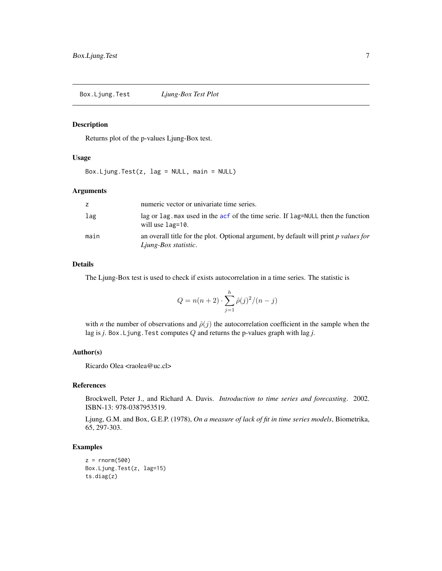<span id="page-6-0"></span>Box.Ljung.Test *Ljung-Box Test Plot*

#### Description

Returns plot of the p-values Ljung-Box test.

#### Usage

Box.Ljung.Test(z, lag = NULL, main = NULL)

#### Arguments

| z    | numeric vector or univariate time series.                                                                    |
|------|--------------------------------------------------------------------------------------------------------------|
| lag  | lag or lag. max used in the acf of the time serie. If lag=NULL then the function<br>will use lag=10.         |
| main | an overall title for the plot. Optional argument, by default will print p values for<br>Ljung-Box statistic. |

#### Details

The Ljung-Box test is used to check if exists autocorrelation in a time series. The statistic is

$$
Q = n(n+2) \cdot \sum_{j=1}^{h} \hat{\rho}(j)^2 / (n-j)
$$

with *n* the number of observations and  $\hat{\rho}(j)$  the autocorrelation coefficient in the sample when the lag is *j*. Box.Ljung.Test computes Q and returns the p-values graph with lag *j*.

#### Author(s)

Ricardo Olea <raolea@uc.cl>

#### References

Brockwell, Peter J., and Richard A. Davis. *Introduction to time series and forecasting*. 2002. ISBN-13: 978-0387953519.

Ljung, G.M. and Box, G.E.P. (1978), *On a measure of lack of fit in time series models*, Biometrika, 65, 297-303.

```
z = rnorm(500)Box.Ljung.Test(z, lag=15)
ts.diag(z)
```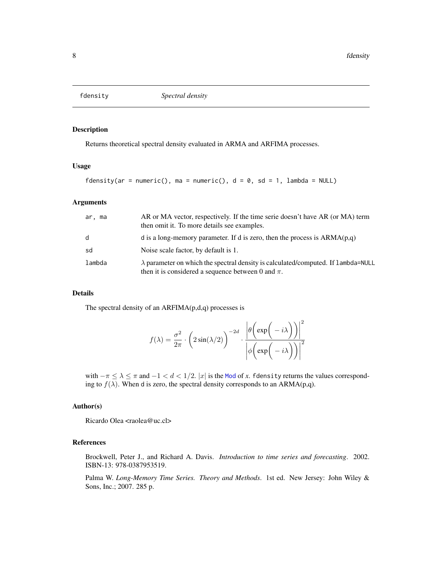<span id="page-7-0"></span>

#### Description

Returns theoretical spectral density evaluated in ARMA and ARFIMA processes.

#### Usage

fdensity(ar = numeric(), ma = numeric(),  $d = 0$ , sd = 1, lambda = NULL)

#### Arguments

| ar. ma | AR or MA vector, respectively. If the time serie doesn't have AR (or MA) term<br>then omit it. To more details see examples.                        |
|--------|-----------------------------------------------------------------------------------------------------------------------------------------------------|
| d      | d is a long-memory parameter. If d is zero, then the process is $ARMA(p,q)$                                                                         |
| sd     | Noise scale factor, by default is 1.                                                                                                                |
| lambda | $\lambda$ parameter on which the spectral density is calculated/computed. If 1 ambda=NULL<br>then it is considered a sequence between 0 and $\pi$ . |

#### Details

The spectral density of an  $ARFIMA(p,d,q)$  processes is

$$
f(\lambda) = \frac{\sigma^2}{2\pi} \cdot \left(2\sin(\lambda/2)\right)^{-2d} \cdot \frac{\left|\theta\left(\exp\left(-i\lambda\right)\right)\right|^2}{\left|\phi\left(\exp\left(-i\lambda\right)\right)\right|^2}
$$

with  $-\pi \leq \lambda \leq \pi$  and  $-1 < d < 1/2$ . |x| is the [Mod](#page-0-0) of x. fdensity returns the values corresponding to  $f(\lambda)$ . When d is zero, the spectral density corresponds to an ARMA(p,q).

#### Author(s)

Ricardo Olea <raolea@uc.cl>

#### References

Brockwell, Peter J., and Richard A. Davis. *Introduction to time series and forecasting*. 2002. ISBN-13: 978-0387953519.

Palma W. *Long-Memory Time Series. Theory and Methods*. 1st ed. New Jersey: John Wiley & Sons, Inc.; 2007. 285 p.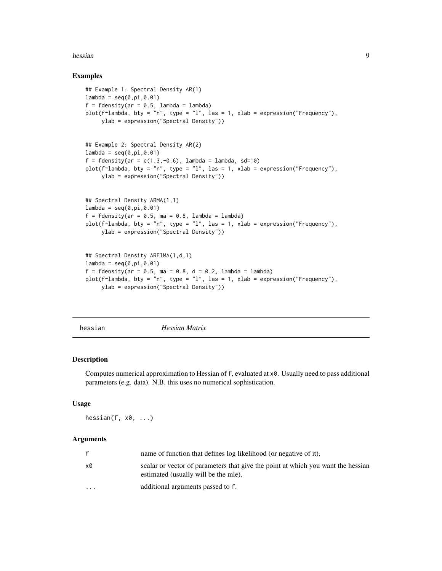#### <span id="page-8-0"></span>hessian 9

#### Examples

```
## Example 1: Spectral Density AR(1)
lambda = seq(0, pi, 0.01)f = fdensity(ar = 0.5, lambda = lambda)plot(f~lambda, bty = "n", type = "l", las = 1, xlab = expression("Frequency"),
     ylab = expression("Spectral Density"))
## Example 2: Spectral Density AR(2)
lambda = seq(0, pi, 0.01)f = fdensity(ar = c(1.3, -0.6), lambda = lambda, sd=10)plot(f~lambda, bty = "n", type = "l", las = 1, xlab = expression("Frequency"),
     ylab = expression("Spectral Density"))
## Spectral Density ARMA(1,1)
lambda = seq(0, pi, 0.01)f = fdensity(ar = 0.5, ma = 0.8, lambda = lambda)plot(f~lambda, bty = "n", type = "l", las = 1, xlab = expression("Frequency"),
     ylab = expression("Spectral Density"))
## Spectral Density ARFIMA(1,d,1)
lambda = seq(0, pi, 0.01)f = fdensity(ar = 0.5, ma = 0.8, d = 0.2, lambda = lambda)plot(f~lambda, bty = "n", type = "l", las = 1, xlab = expression("Frequency"),
     ylab = expression("Spectral Density"))
```
hessian *Hessian Matrix*

#### Description

Computes numerical approximation to Hessian of f, evaluated at x0. Usually need to pass additional parameters (e.g. data). N.B. this uses no numerical sophistication.

#### Usage

hessian(f, x0, ...)

#### Arguments

|                      | name of function that defines log likelihood (or negative of it).                                                        |
|----------------------|--------------------------------------------------------------------------------------------------------------------------|
| x0                   | scalar or vector of parameters that give the point at which you want the hessian<br>estimated (usually will be the mle). |
| $\ddot{\phantom{0}}$ | additional arguments passed to f.                                                                                        |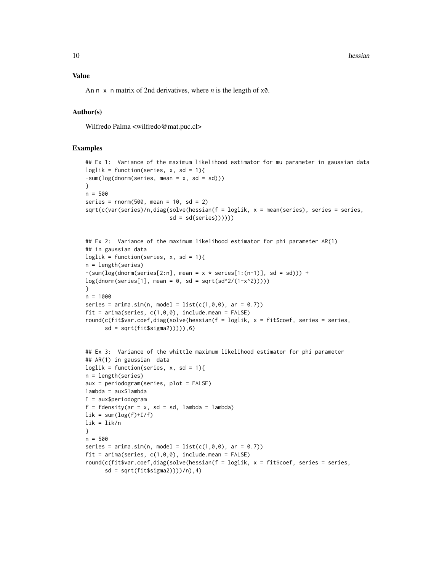10 hessian hessian hessian hessian hessian hessian hessian hessian hessian hessian hessian hessian hessian hessi

An n x n matrix of 2nd derivatives, where *n* is the length of x0.

#### Author(s)

Wilfredo Palma <wilfredo@mat.puc.cl>

```
## Ex 1: Variance of the maximum likelihood estimator for mu parameter in gaussian data
loglik = function(series, x, sd = 1){-sum(log(dnorm(series, mean = x, sd = sd)))
}
n = 500
series = rnorm(500, mean = 10, sd = 2)sqrt(c(var(series)/n,diag(solve(hessian(f = loglik, x = mean(series), series = series,
                          sd = sd(series)))))## Ex 2: Variance of the maximum likelihood estimator for phi parameter AR(1)
## in gaussian data
loglik = function(series, x, sd = 1){n = length(series)
-(sum(log(dnorm(series[2:n], mean = x * series[1:(n-1)], sd = sd))) +log(dnorm(series[1], mean = 0, sd = sqrt(sd^2/(1-x^2))))}
n = 1000
series = arima.sim(n, model = list(c(1,0,0), ar = 0.7))fit = arima(series, c(1,0,0), include.mean = FALSE)round(c(fit$var.coef,diag(solve(hessian(f = loglik, x = fit$coef, series = series,
      sd = sqrt(fitssigma2)))),6)
## Ex 3: Variance of the whittle maximum likelihood estimator for phi parameter
## AR(1) in gaussian data
loglik = function(series, x, sd = 1){
n = length(series)
aux = periodogram(series, plot = FALSE)
lambda = aux$lambda
I = aux$periodogram
f = fdensity(ar = x, sd = sd, lambda = lambda)\text{lik} = \text{sum}(\text{log}(f) + \text{I}/f)lik = lik/n}
n = 500
series = arima.sim(n, model = list(c(1, 0, 0), ar = 0.7))fit = arima(series, c(1,0,0), include.mean = FALSE)
round(c(fit$var.coef,diag(solve(hessian(f = loglik, x = fit$coef, series = series,
      sd = sqrt(fitsigma2)))/n,4)
```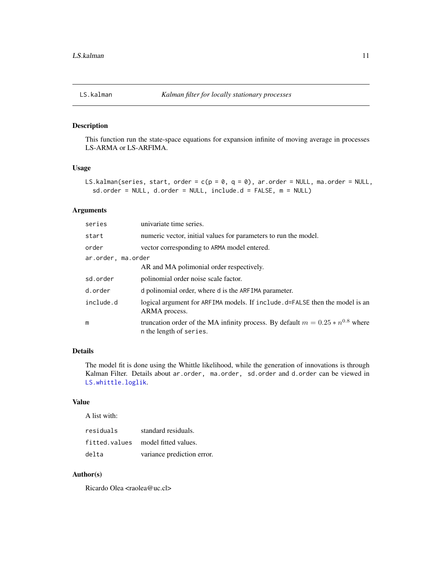<span id="page-10-1"></span><span id="page-10-0"></span>

#### Description

This function run the state-space equations for expansion infinite of moving average in processes LS-ARMA or LS-ARFIMA.

#### Usage

```
LS.kalman(series, start, order = c(p = 0, q = 0), ar.order = NULL, ma.order = NULL,
  sd.order = NULL, d.order = NULL, include.d = FALSE, m = NULL)
```
#### Arguments

| series             | univariate time series.                                                                                       |  |
|--------------------|---------------------------------------------------------------------------------------------------------------|--|
| start              | numeric vector, initial values for parameters to run the model.                                               |  |
| order              | vector corresponding to ARMA model entered.                                                                   |  |
| ar.order, ma.order |                                                                                                               |  |
|                    | AR and MA polimonial order respectively.                                                                      |  |
| sd.order           | polinomial order noise scale factor.                                                                          |  |
| d.order            | d polinomial order, where d is the ARFIMA parameter.                                                          |  |
| include.d          | logical argument for ARFIMA models. If include . d=FALSE then the model is an<br>ARMA process.                |  |
| m                  | truncation order of the MA infinity process. By default $m = 0.25 * n^{0.8}$ where<br>n the length of series. |  |

#### Details

The model fit is done using the Whittle likelihood, while the generation of innovations is through Kalman Filter. Details about ar.order, ma.order, sd.order and d.order can be viewed in [LS.whittle.loglik](#page-14-1).

#### Value

A list with:

| residuals | standard residuals.                |
|-----------|------------------------------------|
|           | fitted.values model fitted values. |
| delta     | variance prediction error.         |

#### Author(s)

Ricardo Olea <raolea@uc.cl>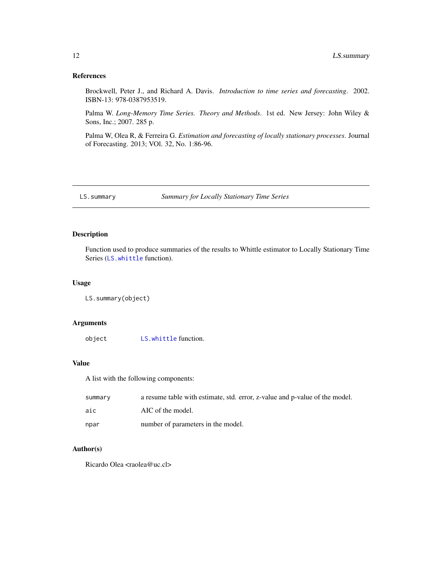#### <span id="page-11-0"></span>References

Brockwell, Peter J., and Richard A. Davis. *Introduction to time series and forecasting*. 2002. ISBN-13: 978-0387953519.

Palma W. *Long-Memory Time Series. Theory and Methods*. 1st ed. New Jersey: John Wiley & Sons, Inc.; 2007. 285 p.

Palma W, Olea R, & Ferreira G. *Estimation and forecasting of locally stationary processes*. Journal of Forecasting. 2013; VOl. 32, No. 1:86-96.

LS.summary *Summary for Locally Stationary Time Series*

#### Description

Function used to produce summaries of the results to Whittle estimator to Locally Stationary Time Series ([LS.whittle](#page-12-1) function).

#### Usage

```
LS.summary(object)
```
#### Arguments

object [LS.whittle](#page-12-1) function.

#### Value

A list with the following components:

| summarv | a resume table with estimate, std. error, z-value and p-value of the model. |
|---------|-----------------------------------------------------------------------------|
| aic     | AIC of the model.                                                           |
| npar    | number of parameters in the model.                                          |

#### Author(s)

Ricardo Olea <raolea@uc.cl>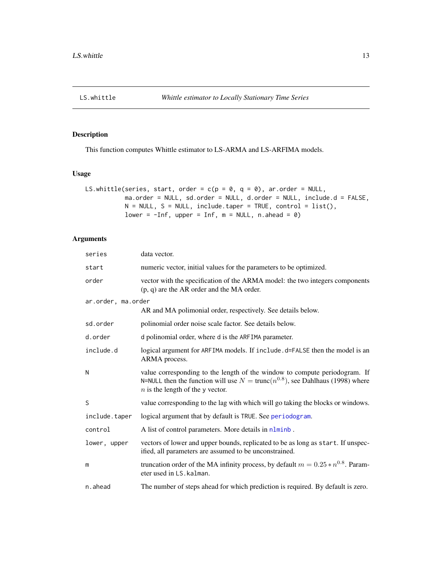<span id="page-12-1"></span><span id="page-12-0"></span>

#### Description

This function computes Whittle estimator to LS-ARMA and LS-ARFIMA models.

#### Usage

```
LS.whittle(series, start, order = c(p = 0, q = 0), ar.order = NULL,
           ma.order = NULL, sd.order = NULL, d.order = NULL, include.d = FALSE,
           N = NULL, S = NULL, include.taper = TRUE, control = list(),
           lower = -Inf, upper = Inf, m = NULL, n.ahead = 0)
```
#### Arguments

| series             | data vector.                                                                                                                                                                                                  |
|--------------------|---------------------------------------------------------------------------------------------------------------------------------------------------------------------------------------------------------------|
| start              | numeric vector, initial values for the parameters to be optimized.                                                                                                                                            |
| order              | vector with the specification of the ARMA model: the two integers components<br>$(p, q)$ are the AR order and the MA order.                                                                                   |
| ar.order, ma.order |                                                                                                                                                                                                               |
|                    | AR and MA polimonial order, respectively. See details below.                                                                                                                                                  |
| sd.order           | polinomial order noise scale factor. See details below.                                                                                                                                                       |
| d.order            | d polinomial order, where d is the ARFIMA parameter.                                                                                                                                                          |
| include.d          | logical argument for ARFIMA models. If include . d=FALSE then the model is an<br>ARMA process.                                                                                                                |
| N                  | value corresponding to the length of the window to compute periodogram. If<br>N=NULL then the function will use $N = \text{trunc}(n^{0.8})$ , see Dahlhaus (1998) where<br>$n$ is the length of the y vector. |
| S                  | value corresponding to the lag with which will go taking the blocks or windows.                                                                                                                               |
| include.taper      | logical argument that by default is TRUE. See periodogram.                                                                                                                                                    |
| control            | A list of control parameters. More details in nlminb.                                                                                                                                                         |
| lower, upper       | vectors of lower and upper bounds, replicated to be as long as start. If unspec-<br>ified, all parameters are assumed to be unconstrained.                                                                    |
| m                  | truncation order of the MA infinity process, by default $m = 0.25 * n^{0.8}$ . Param-<br>eter used in LS. kalman.                                                                                             |
| n.ahead            | The number of steps ahead for which prediction is required. By default is zero.                                                                                                                               |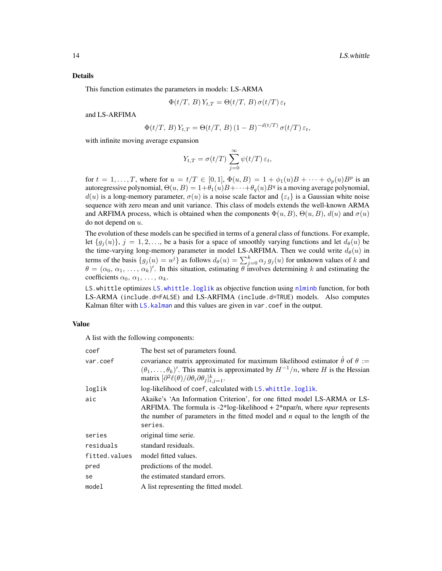#### <span id="page-13-0"></span>Details

This function estimates the parameters in models: LS-ARMA

$$
\Phi(t/T, B) Y_{t,T} = \Theta(t/T, B) \sigma(t/T) \varepsilon_t
$$

and LS-ARFIMA

$$
\Phi(t/T, B) Y_{t,T} = \Theta(t/T, B) (1 - B)^{-d(t/T)} \sigma(t/T) \varepsilon_t,
$$

with infinite moving average expansion

$$
Y_{t,T} = \sigma(t/T) \sum_{j=0}^{\infty} \psi(t/T) \, \varepsilon_t,
$$

for  $t = 1, ..., T$ , where for  $u = t/T \in [0, 1], \Phi(u, B) = 1 + \phi_1(u)B + \cdots + \phi_p(u)B^p$  is an autoregressive polynomial,  $\Theta(u, B) = 1 + \theta_1(u)B + \cdots + \theta_q(u)B^q$  is a moving average polynomial,  $d(u)$  is a long-memory parameter,  $\sigma(u)$  is a noise scale factor and  $\{\varepsilon_t\}$  is a Gaussian white noise sequence with zero mean and unit variance. This class of models extends the well-known ARMA and ARFIMA process, which is obtained when the components  $\Phi(u, B)$ ,  $\Theta(u, B)$ ,  $d(u)$  and  $\sigma(u)$ do not depend on  $u$ .

The evolution of these models can be specified in terms of a general class of functions. For example, let  $\{g_i(u)\}\$ ,  $j = 1, 2, \ldots$ , be a basis for a space of smoothly varying functions and let  $d_\theta(u)$  be the time-varying long-memory parameter in model LS-ARFIMA. Then we could write  $d_{\theta}(u)$  in terms of the basis  $\{g_j(u) = u^j\}$  as follows  $d_\theta(u) = \sum_{j=0}^k \alpha_j g_j(u)$  for unknown values of k and  $\theta = (\alpha_0, \alpha_1, \dots, \alpha_k)'$ . In this situation, estimating  $\theta$  involves determining k and estimating the coefficients  $\alpha_0, \alpha_1, \ldots, \alpha_k$ .

LS.whittle optimizes [LS.whittle.loglik](#page-14-1) as objective function using [nlminb](#page-0-0) function, for both LS-ARMA (include.d=FALSE) and LS-ARFIMA (include.d=TRUE) models. Also computes Kalman filter with LS. kalman and this values are given in var. coef in the output.

#### Value

A list with the following components:

| coef          | The best set of parameters found.                                                                                                                                                                                                                                                                      |
|---------------|--------------------------------------------------------------------------------------------------------------------------------------------------------------------------------------------------------------------------------------------------------------------------------------------------------|
| var.coef      | covariance matrix approximated for maximum likelihood estimator $\hat{\theta}$ of $\theta :=$<br>$(\theta_1, \ldots, \theta_k)'$ . This matrix is approximated by $H^{-1}/n$ , where H is the Hessian<br>matrix $\left[\partial^2 \ell(\theta)/\partial \theta_i \partial \theta_j\right]_{i,j=1}^k$ . |
| loglik        | log-likelihood of coef, calculated with LS. whittle. loglik.                                                                                                                                                                                                                                           |
| aic           | Akaike's 'An Information Criterion', for one fitted model LS-ARMA or LS-<br>ARFIMA. The formula is $-2^*$ log-likelihood + $2^*$ npar/n, where <i>npar</i> represents<br>the number of parameters in the fitted model and $n$ equal to the length of the<br>series.                                    |
| series        | original time serie.                                                                                                                                                                                                                                                                                   |
| residuals     | standard residuals.                                                                                                                                                                                                                                                                                    |
| fitted.values | model fitted values.                                                                                                                                                                                                                                                                                   |
| pred          | predictions of the model.                                                                                                                                                                                                                                                                              |
| se            | the estimated standard errors.                                                                                                                                                                                                                                                                         |
| model         | A list representing the fitted model.                                                                                                                                                                                                                                                                  |
|               |                                                                                                                                                                                                                                                                                                        |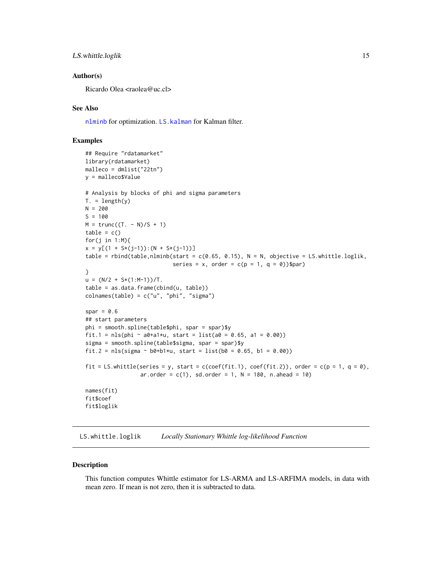#### <span id="page-14-0"></span>LS.whittle.loglik 15

#### Author(s)

Ricardo Olea <raolea@uc.cl>

#### See Also

[nlminb](#page-0-0) for optimization. [LS.kalman](#page-10-1) for Kalman filter.

#### Examples

```
## Require "rdatamarket"
library(rdatamarket)
malleco = dmlist("22tn")
y = malleco$Value
# Analysis by blocks of phi and sigma parameters
T. = length(y)N = 200S = 100M = \text{trunc}((T. - N)/S + 1)table = c()for(j in 1:M){
x = y[(1 + S*(j-1)):(N + S*(j-1))]table = rbind(table,nlminb(start = c(0.65, 0.15), N = N, objective = LS.whittle.loglik,
                            series = x, order = c(p = 1, q = 0)$par)
}
u = (N/2 + S*(1:N-1))/T.
table = as.data.frame(cbind(u, table))
colnames(table) = c("u", "phi", "sigma")
spar = 0.6## start parameters
phi = smooth.spline(table$phi, spar = spar)$y
fit.1 = nls(\pi n i \sim a0 + a1 \star u, \text{ start} = list(a0 = 0.65, a1 = 0.00))sigma = smooth.spline(table$sigma, spar = spar)$y
fit.2 = nls(sigma ~ b0+b1*u, start = list(b0 = 0.65, b1 = 0.00))
fit = LS.whittle(series = y, start = c(coef(fit.1), coef(fit.2)), order = c(p = 1, q = 0),
                 ar. order = c(1), sd.order = 1, N = 180, n.ahead = 10)
names(fit)
fit$coef
fit$loglik
```
<span id="page-14-1"></span>LS.whittle.loglik *Locally Stationary Whittle log-likelihood Function*

#### Description

This function computes Whittle estimator for LS-ARMA and LS-ARFIMA models, in data with mean zero. If mean is not zero, then it is subtracted to data.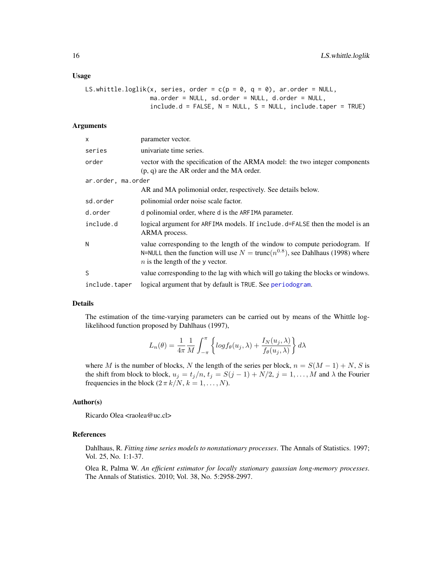#### <span id="page-15-0"></span>Usage

```
LS.whittle.loglik(x, series, order = c(p = 0, q = 0), ar.order = NULL,
                  ma.order = NULL, sd.order = NULL, d.order = NULL,
                  include.d = FALSE, N = NULL, S = NULL, include.taper = TRUE)
```
#### Arguments

| x                  | parameter vector.                                                                                                                                                                                             |
|--------------------|---------------------------------------------------------------------------------------------------------------------------------------------------------------------------------------------------------------|
| series             | univariate time series.                                                                                                                                                                                       |
| order              | vector with the specification of the ARMA model: the two integer components<br>$(p, q)$ are the AR order and the MA order.                                                                                    |
| ar.order, ma.order |                                                                                                                                                                                                               |
|                    | AR and MA polimonial order, respectively. See details below.                                                                                                                                                  |
| sd.order           | polinomial order noise scale factor.                                                                                                                                                                          |
| d.order            | d polinomial order, where d is the ARFIMA parameter.                                                                                                                                                          |
| include.d          | logical argument for ARFIMA models. If include . d=FALSE then the model is an<br>ARMA process.                                                                                                                |
| N                  | value corresponding to the length of the window to compute periodogram. If<br>N=NULL then the function will use $N = \text{trunc}(n^{0.8})$ , see Dahlhaus (1998) where<br>$n$ is the length of the y vector. |
| S                  | value corresponding to the lag with which will go taking the blocks or windows.                                                                                                                               |
| include.taper      | logical argument that by default is TRUE. See periodogram.                                                                                                                                                    |

#### Details

The estimation of the time-varying parameters can be carried out by means of the Whittle loglikelihood function proposed by Dahlhaus (1997),

$$
L_n(\theta) = \frac{1}{4\pi} \frac{1}{M} \int_{-\pi}^{\pi} \left\{ \log f_{\theta}(u_j, \lambda) + \frac{I_N(u_j, \lambda)}{f_{\theta}(u_j, \lambda)} \right\} d\lambda
$$

where M is the number of blocks, N the length of the series per block,  $n = S(M - 1) + N$ , S is the shift from block to block,  $u_j = t_j/n$ ,  $t_j = S(j-1) + N/2$ ,  $j = 1, ..., M$  and  $\lambda$  the Fourier frequencies in the block  $(2 \pi k/N, k = 1, ..., N)$ .

#### Author(s)

Ricardo Olea <raolea@uc.cl>

#### References

Dahlhaus, R. *Fitting time series models to nonstationary processes*. The Annals of Statistics. 1997; Vol. 25, No. 1:1-37.

Olea R, Palma W. *An efficient estimator for locally stationary gaussian long-memory processes*. The Annals of Statistics. 2010; Vol. 38, No. 5:2958-2997.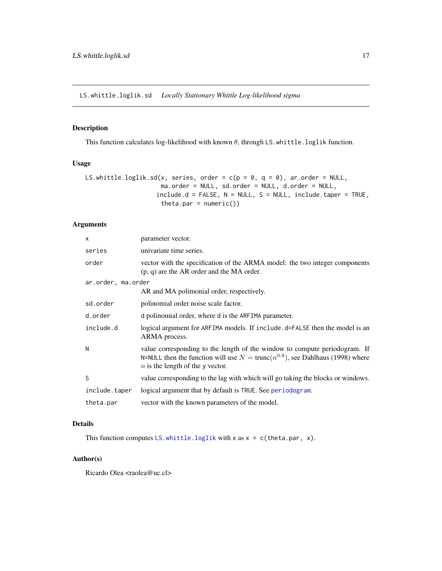<span id="page-16-0"></span>LS.whittle.loglik.sd *Locally Stationary Whittle Log-likelihood sigma*

#### Description

This function calculates log-likelihood with known  $\theta$ , through LS.whittle.loglik function.

#### Usage

```
LS.whittle.loglik.sd(x, series, order = c(p = 0, q = 0), ar.order = NULL,
                     ma.order = NULL, sd.order = NULL, d.order = NULL,
                   include.d = FALSE, N = NULL, S = NULL, include.taper = TRUE,theta.par = numeric()
```
#### Arguments

| x                  | parameter vector.                                                                                                                                                                                             |  |
|--------------------|---------------------------------------------------------------------------------------------------------------------------------------------------------------------------------------------------------------|--|
| series             | univariate time series.                                                                                                                                                                                       |  |
| order              | vector with the specification of the ARMA model: the two integer components<br>$(p, q)$ are the AR order and the MA order.                                                                                    |  |
| ar.order, ma.order |                                                                                                                                                                                                               |  |
|                    | AR and MA polimonial order, respectively.                                                                                                                                                                     |  |
| sd.order           | polinomial order noise scale factor.                                                                                                                                                                          |  |
| d.order            | d polinomial order, where d is the ARFIMA parameter.                                                                                                                                                          |  |
| include.d          | logical argument for ARFIMA models. If include . d=FALSE then the model is an<br>ARMA process.                                                                                                                |  |
| N                  | value corresponding to the length of the window to compute periodogram. If<br>N=NULL then the function will use $N = \text{trunc}(n^{0.8})$ , see Dahlhaus (1998) where<br>$n$ is the length of the y vector. |  |
| S.                 | value corresponding to the lag with which will go taking the blocks or windows.                                                                                                                               |  |
| include.taper      | logical argument that by default is TRUE. See periodogram.                                                                                                                                                    |  |
| theta.par          | vector with the known parameters of the model.                                                                                                                                                                |  |

#### Details

This function computes [LS.whittle.loglik](#page-14-1) with x as  $x = c$  (theta.par, x).

#### Author(s)

Ricardo Olea <raolea@uc.cl>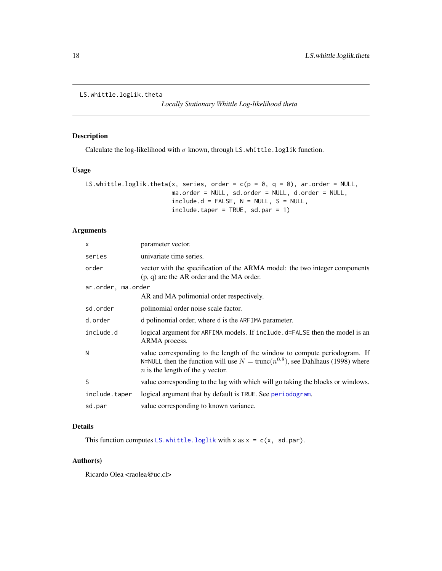```
LS.whittle.loglik.theta
```
*Locally Stationary Whittle Log-likelihood theta*

#### Description

Calculate the log-likelihood with  $\sigma$  known, through LS.whittle.loglik function.

#### Usage

```
LS.whittle.loglik.theta(x, series, order = c(p = 0, q = 0), ar.order = NULL,
                        ma.order = NULL, sd.order = NULL, d.order = NULL,
                        include.d = FALSE, N = NULL, S = NULL,include.taper = TRUE, sd.par = 1)
```
#### Arguments

| x                  | parameter vector.                                                                                                                                                                                             |  |
|--------------------|---------------------------------------------------------------------------------------------------------------------------------------------------------------------------------------------------------------|--|
| series             | univariate time series.                                                                                                                                                                                       |  |
| order              | vector with the specification of the ARMA model: the two integer components<br>$(p, q)$ are the AR order and the MA order.                                                                                    |  |
| ar.order, ma.order |                                                                                                                                                                                                               |  |
|                    | AR and MA polimonial order respectively.                                                                                                                                                                      |  |
| sd.order           | polinomial order noise scale factor.                                                                                                                                                                          |  |
| d.order            | d polinomial order, where d is the ARFIMA parameter.                                                                                                                                                          |  |
| include.d          | logical argument for ARFIMA models. If include .d=FALSE then the model is an<br>ARMA process.                                                                                                                 |  |
| N                  | value corresponding to the length of the window to compute periodogram. If<br>N=NULL then the function will use $N = \text{trunc}(n^{0.8})$ , see Dahlhaus (1998) where<br>$n$ is the length of the y vector. |  |
| S                  | value corresponding to the lag with which will go taking the blocks or windows.                                                                                                                               |  |
| include.taper      | logical argument that by default is TRUE. See periodogram.                                                                                                                                                    |  |
| sd.par             | value corresponding to known variance.                                                                                                                                                                        |  |

#### Details

This function computes [LS.whittle.loglik](#page-14-1) with x as  $x = c(x, sd.par)$ .

#### Author(s)

Ricardo Olea <raolea@uc.cl>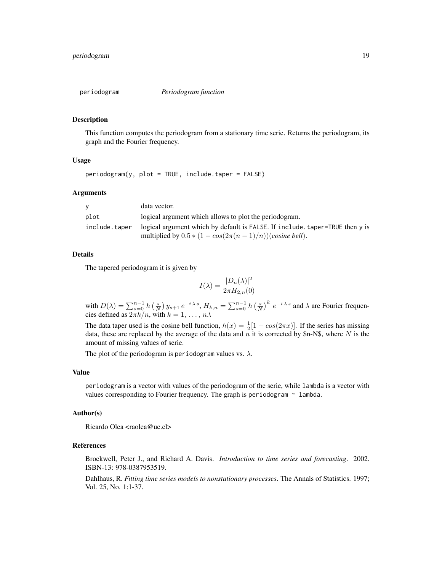<span id="page-18-1"></span><span id="page-18-0"></span>

#### Description

This function computes the periodogram from a stationary time serie. Returns the periodogram, its graph and the Fourier frequency.

#### Usage

periodogram(y, plot = TRUE, include.taper = FALSE)

#### Arguments

|               | data vector.                                                                |
|---------------|-----------------------------------------------------------------------------|
| plot          | logical argument which allows to plot the periodogram.                      |
| include.taper | logical argument which by default is FALSE. If include taper=TRUE then y is |
|               | multiplied by $0.5 * (1 - \cos(2\pi(n-1)/n))$ (cosine bell).                |

#### Details

The tapered periodogram it is given by

$$
I(\lambda) = \frac{|D_n(\lambda)|^2}{2\pi H_{2,n}(0)}
$$

with  $D(\lambda) = \sum_{s=0}^{n-1} h\left(\frac{s}{N}\right) y_{s+1} e^{-i\lambda s}$ ,  $H_{k,n} = \sum_{s=0}^{n-1} h\left(\frac{s}{N}\right)^k e^{-i\lambda s}$  and  $\lambda$  are Fourier frequencies defined as  $2\pi k/n$ , with  $k = 1, \ldots, n.\lambda$ 

The data taper used is the cosine bell function,  $h(x) = \frac{1}{2}[1 - \cos(2\pi x)]$ . If the series has missing data, these are replaced by the average of the data and  $n$  it is corrected by \$n-N\$, where N is the amount of missing values of serie.

The plot of the periodogram is periodogram values vs.  $\lambda$ .

#### Value

periodogram is a vector with values of the periodogram of the serie, while lambda is a vector with values corresponding to Fourier frequency. The graph is periodogram  $\sim$  lambda.

#### Author(s)

Ricardo Olea <raolea@uc.cl>

#### References

Brockwell, Peter J., and Richard A. Davis. *Introduction to time series and forecasting*. 2002. ISBN-13: 978-0387953519.

Dahlhaus, R. *Fitting time series models to nonstationary processes*. The Annals of Statistics. 1997; Vol. 25, No. 1:1-37.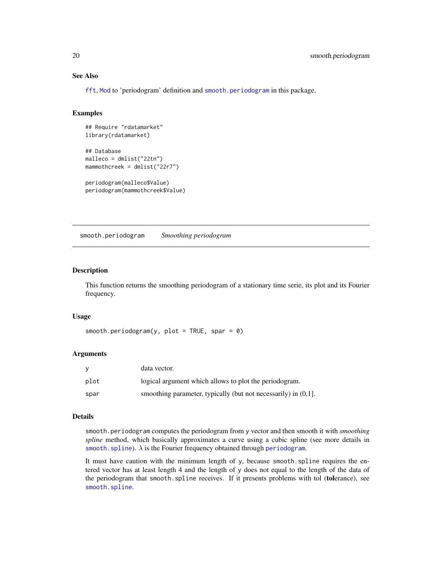#### See Also

[fft](#page-0-0), [Mod](#page-0-0) to 'periodogram' definition and [smooth.periodogram](#page-19-1) in this package.

#### Examples

```
## Require "rdatamarket"
library(rdatamarket)
```

```
## Database
malleco = dmlist("22tn")
mammothcreek = dmlist("22r7")
```

```
periodogram(malleco$Value)
periodogram(mammothcreek$Value)
```
<span id="page-19-1"></span>smooth.periodogram *Smoothing periodogram*

#### Description

This function returns the smoothing periodogram of a stationary time serie, its plot and its Fourier frequency.

#### Usage

```
smooth.periodogram(y, plot = TRUE, spar = \theta)
```
#### Arguments

| У    | data vector.                                                      |
|------|-------------------------------------------------------------------|
| plot | logical argument which allows to plot the periodogram.            |
| spar | smoothing parameter, typically (but not necessarily) in $(0,1]$ . |

#### Details

smooth.periodogram computes the periodogram from y vector and then smooth it with *smoothing spline* method, which basically approximates a curve using a cubic spline (see more details in [smooth.spline](#page-0-0)).  $\lambda$  is the Fourier frequency obtained through [periodogram](#page-18-1).

It must have caution with the minimum length of y, because smooth.spline requires the entered vector has at least length 4 and the length of y does not equal to the length of the data of the periodogram that smooth.spline receives. If it presents problems with tol (tolerance), see [smooth.spline](#page-0-0).

<span id="page-19-0"></span>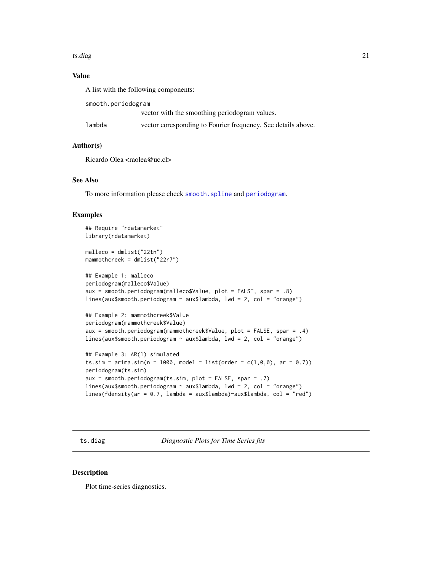#### <span id="page-20-0"></span>ts.diag 21

#### Value

A list with the following components:

smooth.periodogram

vector with the smoothing periodogram values.

| lambda | vector coresponding to Fourier frequency. See details above. |  |  |
|--------|--------------------------------------------------------------|--|--|
|        |                                                              |  |  |

#### Author(s)

Ricardo Olea <raolea@uc.cl>

#### See Also

To more information please check [smooth.spline](#page-0-0) and [periodogram](#page-18-1).

#### Examples

```
## Require "rdatamarket"
library(rdatamarket)
malleco = dmlist("22tn")
mammothcreek = dmlist("22r7")
## Example 1: malleco
periodogram(malleco$Value)
aux = smooth.periodogram(malleco$Value, plot = FALSE, spar = .8)
lines(aux$smooth.periodogram ~ aux$lambda, lwd = 2, col = "orange")
## Example 2: mammothcreek$Value
periodogram(mammothcreek$Value)
aux = smooth.periodogram(mammothcreek$Value, plot = FALSE, spar = .4)
lines(aux$smooth.periodogram ~ aux$lambda, lwd = 2, col = "orange")
## Example 3: AR(1) simulated
ts.sim = arima.sim(n = 1000, model = list(order = c(1, 0, 0), ar = 0.7))
periodogram(ts.sim)
aux = smooth.periodogram(ts.sim, plot = FALSE, spar = .7)
lines(aux$smooth.periodogram \sim aux$lambda, lwd = 2, col = "orange")
```

```
lines(fdensity(ar = 0.7, lambda = aux$lambda)~aux$lambda, col = "red")
```
ts.diag *Diagnostic Plots for Time Series fits*

#### Description

Plot time-series diagnostics.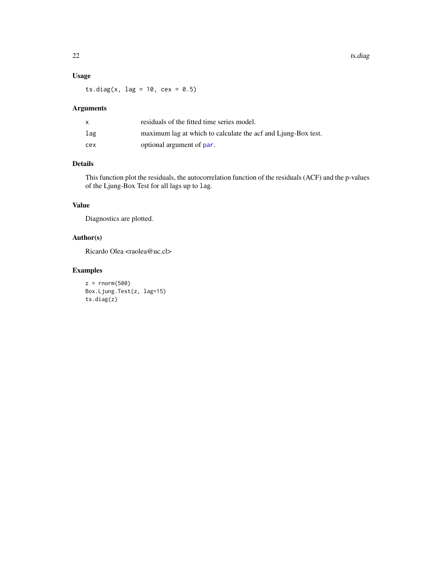#### <span id="page-21-0"></span>Usage

ts.diag(x,  $\text{lag} = 10$ ,  $\text{cex} = 0.5$ )

#### Arguments

|     | residuals of the fitted time series model.                    |
|-----|---------------------------------------------------------------|
| lag | maximum lag at which to calculate the acf and Ljung-Box test. |
| cex | optional argument of par.                                     |

### Details

This function plot the residuals, the autocorrelation function of the residuals (ACF) and the p-values of the Ljung-Box Test for all lags up to lag.

#### Value

Diagnostics are plotted.

#### Author(s)

Ricardo Olea <raolea@uc.cl>

```
z = rnorm(500)Box.Ljung.Test(z, lag=15)
ts.diag(z)
```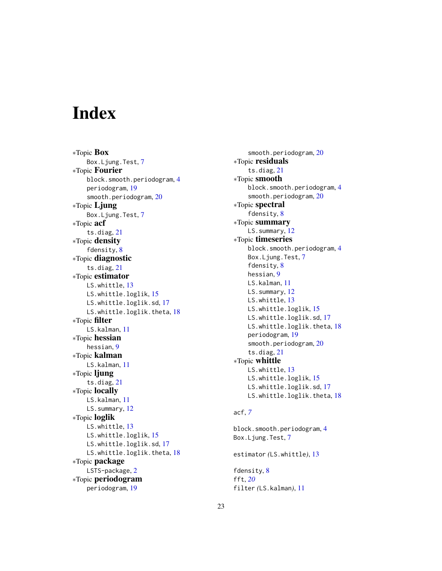# <span id="page-22-0"></span>Index

∗Topic Box Box.Ljung.Test, [7](#page-6-0) ∗Topic Fourier block.smooth.periodogram, [4](#page-3-0) periodogram, [19](#page-18-0) smooth.periodogram, [20](#page-19-0) ∗Topic Ljung Box.Ljung.Test, [7](#page-6-0) ∗Topic acf ts.diag, [21](#page-20-0) ∗Topic density fdensity, [8](#page-7-0) ∗Topic diagnostic ts.diag, [21](#page-20-0) ∗Topic estimator LS.whittle, [13](#page-12-0) LS.whittle.loglik, [15](#page-14-0) LS.whittle.loglik.sd, [17](#page-16-0) LS.whittle.loglik.theta, [18](#page-17-0) ∗Topic filter LS.kalman, [11](#page-10-0) ∗Topic hessian hessian, [9](#page-8-0) ∗Topic kalman LS.kalman, [11](#page-10-0) ∗Topic ljung ts.diag, [21](#page-20-0) ∗Topic locally LS.kalman, [11](#page-10-0) LS.summary, [12](#page-11-0) ∗Topic loglik LS.whittle, [13](#page-12-0) LS.whittle.loglik, [15](#page-14-0) LS.whittle.loglik.sd, [17](#page-16-0) LS.whittle.loglik.theta, [18](#page-17-0) ∗Topic package LSTS-package, [2](#page-1-0) ∗Topic periodogram periodogram, [19](#page-18-0)

smooth.periodogram, [20](#page-19-0) ∗Topic residuals ts.diag, [21](#page-20-0) ∗Topic smooth block.smooth.periodogram, [4](#page-3-0) smooth.periodogram, [20](#page-19-0) ∗Topic spectral fdensity, [8](#page-7-0) ∗Topic summary LS.summary, [12](#page-11-0) ∗Topic timeseries block.smooth.periodogram, [4](#page-3-0) Box.Ljung.Test, [7](#page-6-0) fdensity, [8](#page-7-0) hessian, [9](#page-8-0) LS.kalman, [11](#page-10-0) LS.summary, [12](#page-11-0) LS.whittle, [13](#page-12-0) LS.whittle.loglik, [15](#page-14-0) LS.whittle.loglik.sd, [17](#page-16-0) LS.whittle.loglik.theta, [18](#page-17-0) periodogram, [19](#page-18-0) smooth.periodogram, [20](#page-19-0) ts.diag, [21](#page-20-0) ∗Topic whittle LS.whittle, [13](#page-12-0) LS.whittle.loglik, [15](#page-14-0) LS.whittle.loglik.sd, [17](#page-16-0) LS.whittle.loglik.theta, [18](#page-17-0)

#### acf, *[7](#page-6-0)*

block.smooth.periodogram, [4](#page-3-0) Box.Ljung.Test, [7](#page-6-0) estimator *(*LS.whittle*)*, [13](#page-12-0)

fdensity, [8](#page-7-0) fft, *[20](#page-19-0)* filter *(*LS.kalman*)*, [11](#page-10-0)